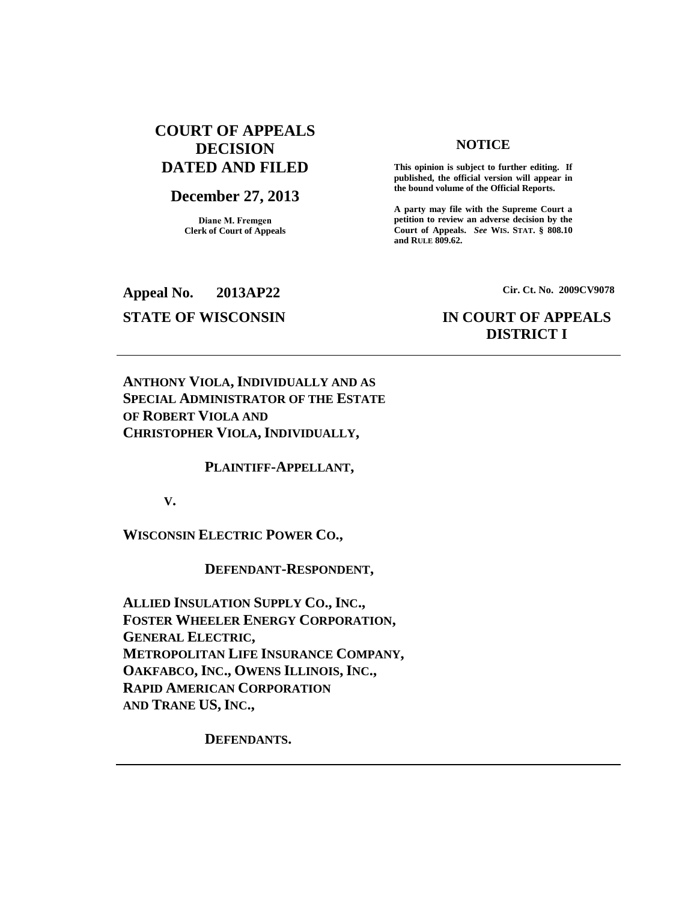# **COURT OF APPEALS DECISION DATED AND FILED**

## **December 27, 2013**

**Diane M. Fremgen Clerk of Court of Appeals**

### **NOTICE**

**This opinion is subject to further editing. If published, the official version will appear in the bound volume of the Official Reports.** 

**A party may file with the Supreme Court a petition to review an adverse decision by the Court of Appeals.** *See* **WIS. STAT. § 808.10 and RULE 809.62.** 

**Appeal No. 2013AP22 Cir. Ct. No. 2009CV9078**

# **STATE OF WISCONSIN IN COURT OF APPEALS DISTRICT I**

**ANTHONY VIOLA, INDIVIDUALLY AND AS SPECIAL ADMINISTRATOR OF THE ESTATE OF ROBERT VIOLA AND CHRISTOPHER VIOLA,INDIVIDUALLY,**

**PLAINTIFF-APPELLANT,** 

**V.**

**WISCONSIN ELECTRIC POWER CO.,**

**DEFENDANT-RESPONDENT,**

**ALLIED INSULATION SUPPLY CO., INC., FOSTER WHEELER ENERGY CORPORATION, GENERAL ELECTRIC, METROPOLITAN LIFE INSURANCE COMPANY, OAKFABCO, INC., OWENS ILLINOIS, INC., RAPID AMERICAN CORPORATION AND TRANE US, INC.,** 

**DEFENDANTS.**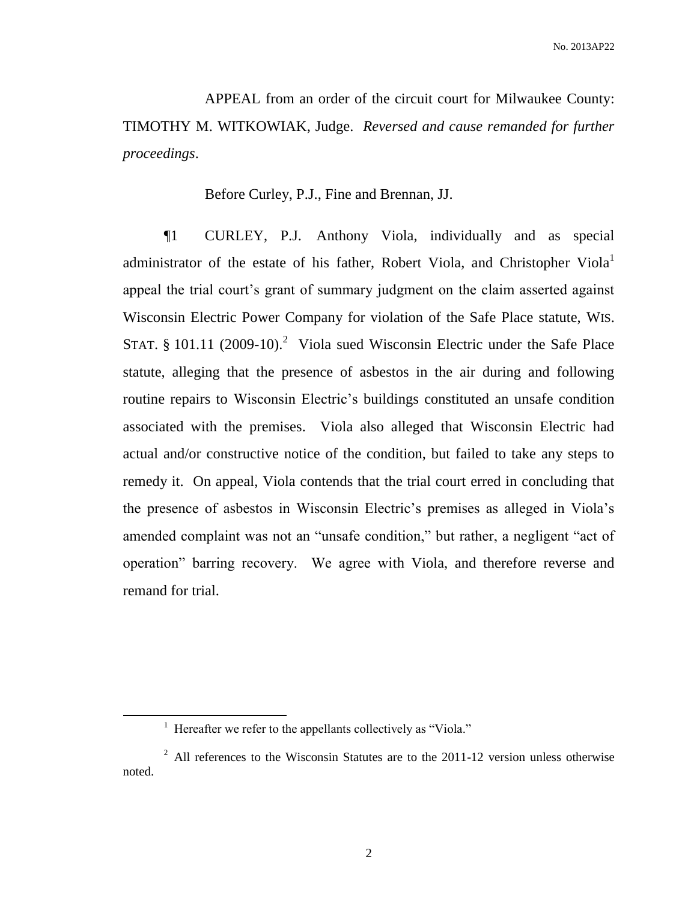APPEAL from an order of the circuit court for Milwaukee County: TIMOTHY M. WITKOWIAK, Judge. *Reversed and cause remanded for further proceedings*.

Before Curley, P.J., Fine and Brennan, JJ.

¶1 CURLEY, P.J. Anthony Viola, individually and as special administrator of the estate of his father, Robert Viola, and Christopher Viola<sup>1</sup> appeal the trial court's grant of summary judgment on the claim asserted against Wisconsin Electric Power Company for violation of the Safe Place statute, WIS. STAT.  $\S$  101.11 (2009-10).<sup>2</sup> Viola sued Wisconsin Electric under the Safe Place statute, alleging that the presence of asbestos in the air during and following routine repairs to Wisconsin Electric's buildings constituted an unsafe condition associated with the premises. Viola also alleged that Wisconsin Electric had actual and/or constructive notice of the condition, but failed to take any steps to remedy it. On appeal, Viola contends that the trial court erred in concluding that the presence of asbestos in Wisconsin Electric's premises as alleged in Viola's amended complaint was not an "unsafe condition," but rather, a negligent "act of operation" barring recovery. We agree with Viola, and therefore reverse and remand for trial.

<sup>&</sup>lt;sup>1</sup> Hereafter we refer to the appellants collectively as "Viola."

 $2$  All references to the Wisconsin Statutes are to the 2011-12 version unless otherwise noted.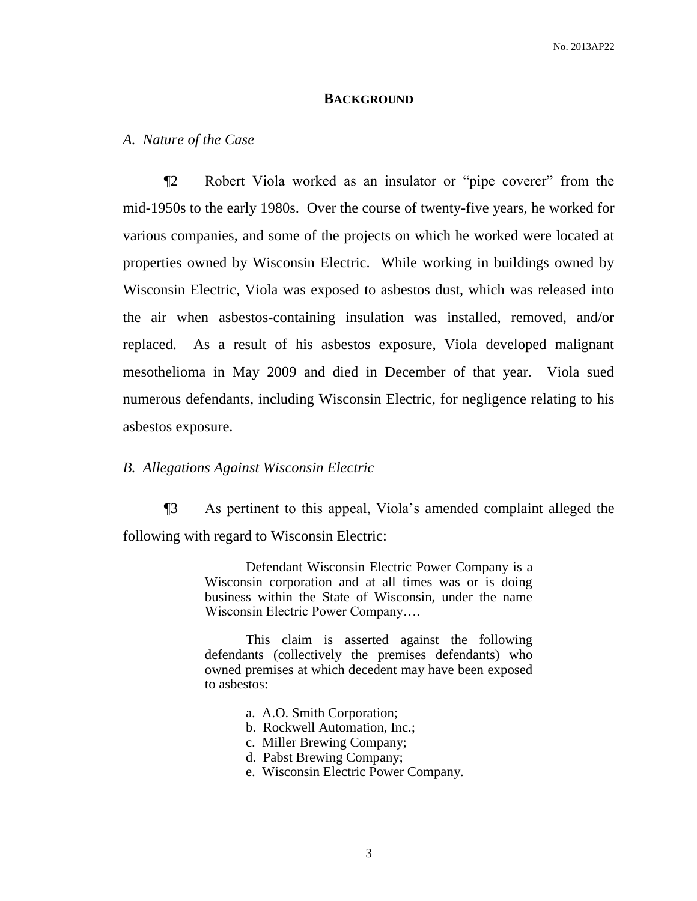#### **BACKGROUND**

### *A. Nature of the Case*

¶2 Robert Viola worked as an insulator or "pipe coverer" from the mid-1950s to the early 1980s. Over the course of twenty-five years, he worked for various companies, and some of the projects on which he worked were located at properties owned by Wisconsin Electric. While working in buildings owned by Wisconsin Electric, Viola was exposed to asbestos dust, which was released into the air when asbestos-containing insulation was installed, removed, and/or replaced. As a result of his asbestos exposure, Viola developed malignant mesothelioma in May 2009 and died in December of that year. Viola sued numerous defendants, including Wisconsin Electric, for negligence relating to his asbestos exposure.

## *B. Allegations Against Wisconsin Electric*

¶3 As pertinent to this appeal, Viola's amended complaint alleged the following with regard to Wisconsin Electric:

> Defendant Wisconsin Electric Power Company is a Wisconsin corporation and at all times was or is doing business within the State of Wisconsin, under the name Wisconsin Electric Power Company….

> This claim is asserted against the following defendants (collectively the premises defendants) who owned premises at which decedent may have been exposed to asbestos:

- a. A.O. Smith Corporation;
- b. Rockwell Automation, Inc.;
- c. Miller Brewing Company;
- d. Pabst Brewing Company;
- e. Wisconsin Electric Power Company.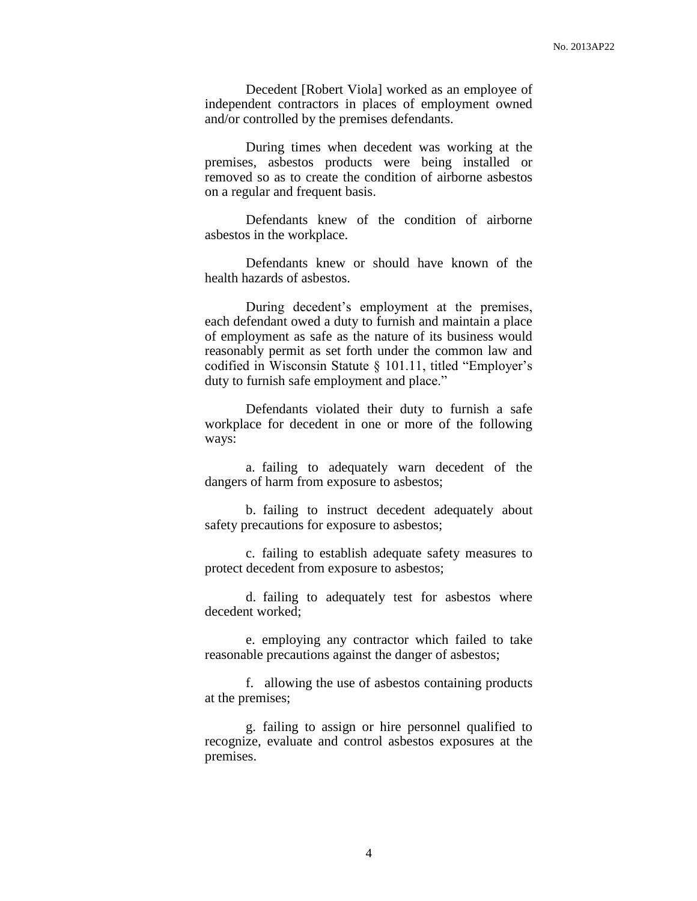Decedent [Robert Viola] worked as an employee of independent contractors in places of employment owned and/or controlled by the premises defendants.

During times when decedent was working at the premises, asbestos products were being installed or removed so as to create the condition of airborne asbestos on a regular and frequent basis.

Defendants knew of the condition of airborne asbestos in the workplace.

Defendants knew or should have known of the health hazards of asbestos.

During decedent's employment at the premises, each defendant owed a duty to furnish and maintain a place of employment as safe as the nature of its business would reasonably permit as set forth under the common law and codified in Wisconsin Statute § 101.11, titled "Employer's duty to furnish safe employment and place."

Defendants violated their duty to furnish a safe workplace for decedent in one or more of the following ways:

a. failing to adequately warn decedent of the dangers of harm from exposure to asbestos;

b. failing to instruct decedent adequately about safety precautions for exposure to asbestos;

c. failing to establish adequate safety measures to protect decedent from exposure to asbestos;

d. failing to adequately test for asbestos where decedent worked;

e. employing any contractor which failed to take reasonable precautions against the danger of asbestos;

f. allowing the use of asbestos containing products at the premises;

g. failing to assign or hire personnel qualified to recognize, evaluate and control asbestos exposures at the premises.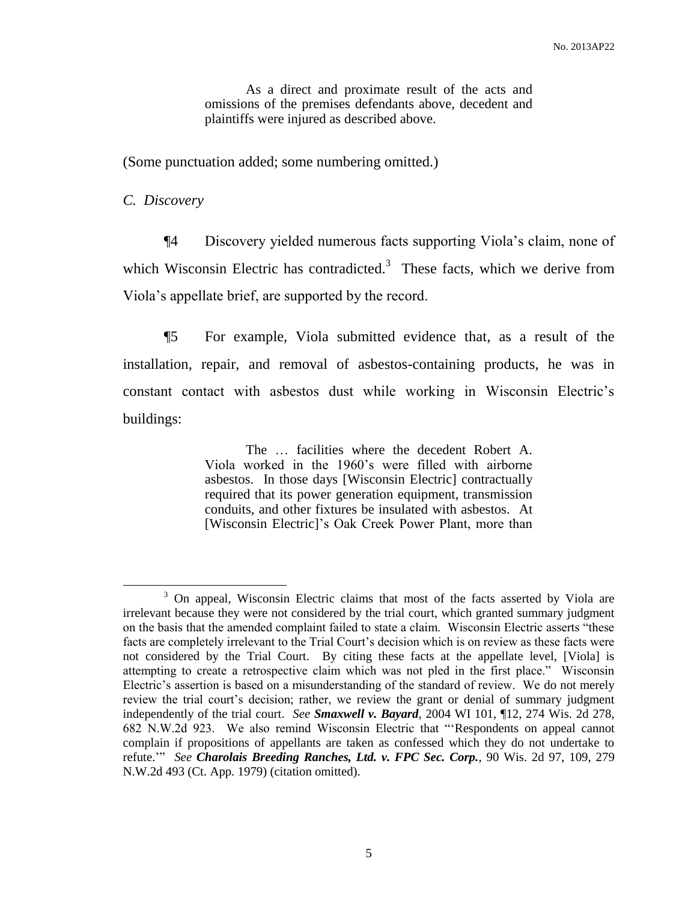As a direct and proximate result of the acts and omissions of the premises defendants above, decedent and plaintiffs were injured as described above.

(Some punctuation added; some numbering omitted.)

*C. Discovery*

 $\overline{a}$ 

¶4 Discovery yielded numerous facts supporting Viola's claim, none of which Wisconsin Electric has contradicted.<sup>3</sup> These facts, which we derive from Viola's appellate brief, are supported by the record.

¶5 For example, Viola submitted evidence that, as a result of the installation, repair, and removal of asbestos-containing products, he was in constant contact with asbestos dust while working in Wisconsin Electric's buildings:

> The … facilities where the decedent Robert A. Viola worked in the 1960's were filled with airborne asbestos. In those days [Wisconsin Electric] contractually required that its power generation equipment, transmission conduits, and other fixtures be insulated with asbestos. At [Wisconsin Electric]'s Oak Creek Power Plant, more than

<sup>&</sup>lt;sup>3</sup> On appeal, Wisconsin Electric claims that most of the facts asserted by Viola are irrelevant because they were not considered by the trial court, which granted summary judgment on the basis that the amended complaint failed to state a claim. Wisconsin Electric asserts "these facts are completely irrelevant to the Trial Court's decision which is on review as these facts were not considered by the Trial Court. By citing these facts at the appellate level, [Viola] is attempting to create a retrospective claim which was not pled in the first place." Wisconsin Electric's assertion is based on a misunderstanding of the standard of review. We do not merely review the trial court's decision; rather, we review the grant or denial of summary judgment independently of the trial court. *See Smaxwell v. Bayard*, 2004 WI 101, ¶12, 274 Wis. 2d 278, 682 N.W.2d 923. We also remind Wisconsin Electric that "'Respondents on appeal cannot complain if propositions of appellants are taken as confessed which they do not undertake to refute.'" *See Charolais Breeding Ranches, Ltd. v. FPC Sec. Corp.*, 90 Wis. 2d 97, 109, 279 N.W.2d 493 (Ct. App. 1979) (citation omitted).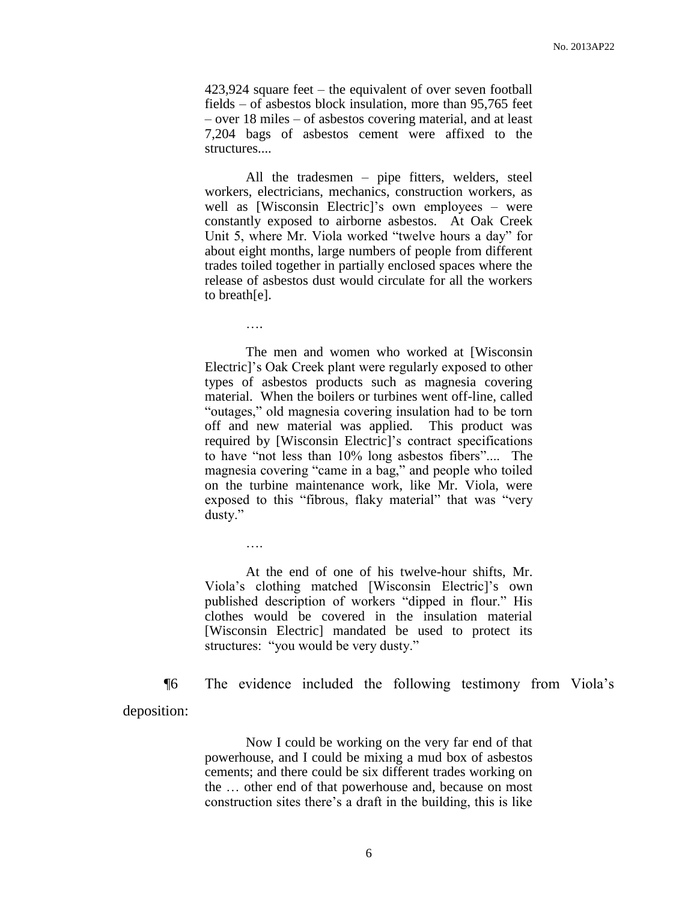423,924 square feet – the equivalent of over seven football fields – of asbestos block insulation, more than 95,765 feet – over 18 miles – of asbestos covering material, and at least 7,204 bags of asbestos cement were affixed to the structures....

All the tradesmen – pipe fitters, welders, steel workers, electricians, mechanics, construction workers, as well as [Wisconsin Electric]'s own employees – were constantly exposed to airborne asbestos. At Oak Creek Unit 5, where Mr. Viola worked "twelve hours a day" for about eight months, large numbers of people from different trades toiled together in partially enclosed spaces where the release of asbestos dust would circulate for all the workers to breath[e].

….

….

The men and women who worked at [Wisconsin Electric]'s Oak Creek plant were regularly exposed to other types of asbestos products such as magnesia covering material. When the boilers or turbines went off-line, called "outages," old magnesia covering insulation had to be torn off and new material was applied. This product was required by [Wisconsin Electric]'s contract specifications to have "not less than 10% long asbestos fibers".... The magnesia covering "came in a bag," and people who toiled on the turbine maintenance work, like Mr. Viola, were exposed to this "fibrous, flaky material" that was "very dusty."

At the end of one of his twelve-hour shifts, Mr. Viola's clothing matched [Wisconsin Electric]'s own published description of workers "dipped in flour." His clothes would be covered in the insulation material [Wisconsin Electric] mandated be used to protect its structures: "you would be very dusty."

¶6 The evidence included the following testimony from Viola's deposition:

> Now I could be working on the very far end of that powerhouse, and I could be mixing a mud box of asbestos cements; and there could be six different trades working on the … other end of that powerhouse and, because on most construction sites there's a draft in the building, this is like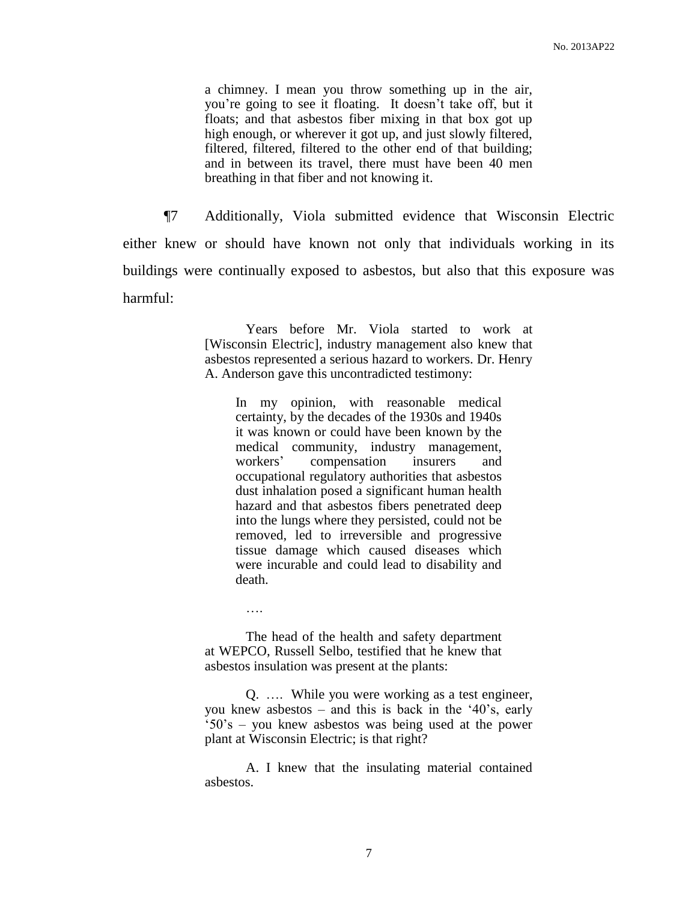a chimney. I mean you throw something up in the air, you're going to see it floating. It doesn't take off, but it floats; and that asbestos fiber mixing in that box got up high enough, or wherever it got up, and just slowly filtered, filtered, filtered, filtered to the other end of that building; and in between its travel, there must have been 40 men breathing in that fiber and not knowing it.

¶7 Additionally, Viola submitted evidence that Wisconsin Electric either knew or should have known not only that individuals working in its buildings were continually exposed to asbestos, but also that this exposure was harmful:

> Years before Mr. Viola started to work at [Wisconsin Electric], industry management also knew that asbestos represented a serious hazard to workers. Dr. Henry A. Anderson gave this uncontradicted testimony:

In my opinion, with reasonable medical certainty, by the decades of the 1930s and 1940s it was known or could have been known by the medical community, industry management, workers' compensation insurers and occupational regulatory authorities that asbestos dust inhalation posed a significant human health hazard and that asbestos fibers penetrated deep into the lungs where they persisted, could not be removed, led to irreversible and progressive tissue damage which caused diseases which were incurable and could lead to disability and death.

The head of the health and safety department at WEPCO, Russell Selbo, testified that he knew that asbestos insulation was present at the plants:

….

Q. …. While you were working as a test engineer, you knew asbestos – and this is back in the '40's, early '50's – you knew asbestos was being used at the power plant at Wisconsin Electric; is that right?

A. I knew that the insulating material contained asbestos.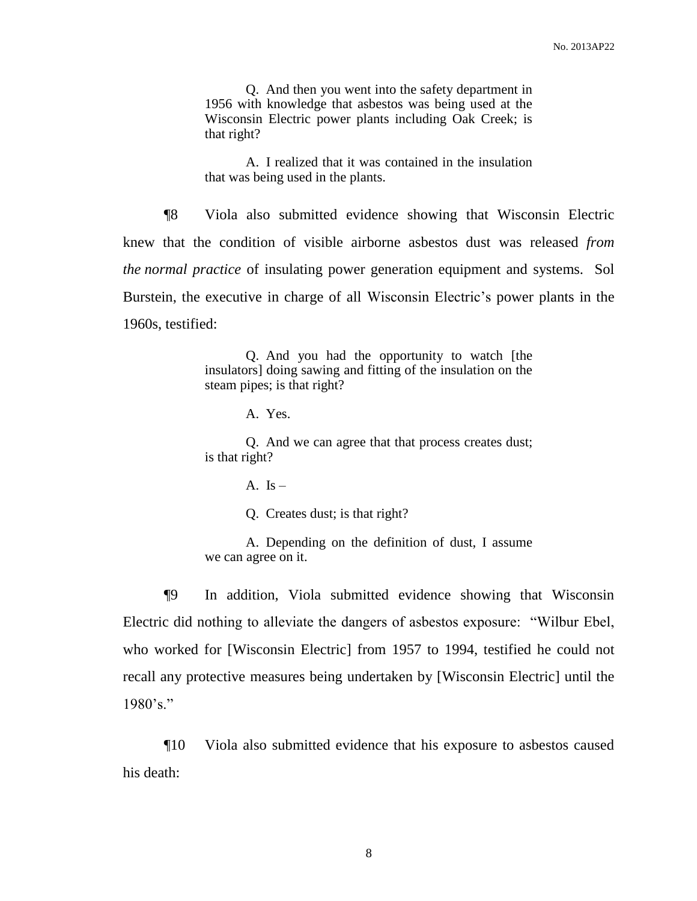Q. And then you went into the safety department in 1956 with knowledge that asbestos was being used at the Wisconsin Electric power plants including Oak Creek; is that right?

A. I realized that it was contained in the insulation that was being used in the plants.

¶8 Viola also submitted evidence showing that Wisconsin Electric knew that the condition of visible airborne asbestos dust was released *from the normal practice* of insulating power generation equipment and systems. Sol Burstein, the executive in charge of all Wisconsin Electric's power plants in the 1960s, testified:

> Q. And you had the opportunity to watch [the insulators] doing sawing and fitting of the insulation on the steam pipes; is that right?

> > A. Yes.

Q. And we can agree that that process creates dust; is that right?

A. Is  $-$ 

Q. Creates dust; is that right?

A. Depending on the definition of dust, I assume we can agree on it.

¶9 In addition, Viola submitted evidence showing that Wisconsin Electric did nothing to alleviate the dangers of asbestos exposure: "Wilbur Ebel, who worked for [Wisconsin Electric] from 1957 to 1994, testified he could not recall any protective measures being undertaken by [Wisconsin Electric] until the  $1980's."$ 

¶10 Viola also submitted evidence that his exposure to asbestos caused his death: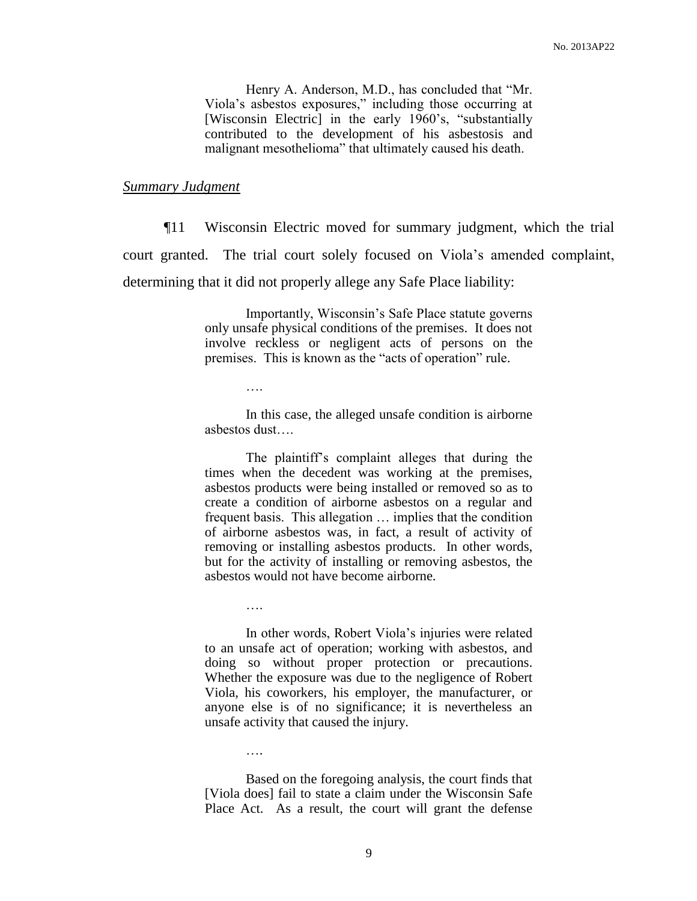Henry A. Anderson, M.D., has concluded that "Mr. Viola's asbestos exposures," including those occurring at [Wisconsin Electric] in the early 1960's, "substantially contributed to the development of his asbestosis and malignant mesothelioma" that ultimately caused his death.

#### *Summary Judgment*

¶11 Wisconsin Electric moved for summary judgment, which the trial court granted. The trial court solely focused on Viola's amended complaint, determining that it did not properly allege any Safe Place liability:

> Importantly, Wisconsin's Safe Place statute governs only unsafe physical conditions of the premises. It does not involve reckless or negligent acts of persons on the premises. This is known as the "acts of operation" rule.

> > ….

….

….

In this case, the alleged unsafe condition is airborne asbestos dust….

The plaintiff's complaint alleges that during the times when the decedent was working at the premises, asbestos products were being installed or removed so as to create a condition of airborne asbestos on a regular and frequent basis. This allegation … implies that the condition of airborne asbestos was, in fact, a result of activity of removing or installing asbestos products. In other words, but for the activity of installing or removing asbestos, the asbestos would not have become airborne.

In other words, Robert Viola's injuries were related to an unsafe act of operation; working with asbestos, and doing so without proper protection or precautions. Whether the exposure was due to the negligence of Robert Viola, his coworkers, his employer, the manufacturer, or anyone else is of no significance; it is nevertheless an unsafe activity that caused the injury.

Based on the foregoing analysis, the court finds that [Viola does] fail to state a claim under the Wisconsin Safe Place Act. As a result, the court will grant the defense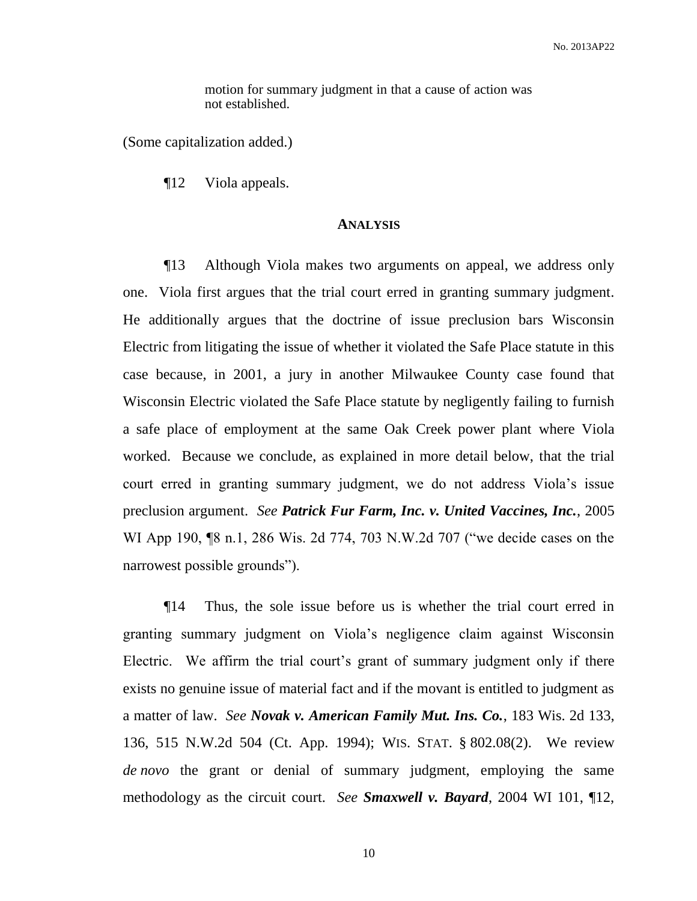motion for summary judgment in that a cause of action was not established.

(Some capitalization added.)

¶12 Viola appeals.

#### **ANALYSIS**

¶13 Although Viola makes two arguments on appeal, we address only one. Viola first argues that the trial court erred in granting summary judgment. He additionally argues that the doctrine of issue preclusion bars Wisconsin Electric from litigating the issue of whether it violated the Safe Place statute in this case because, in 2001, a jury in another Milwaukee County case found that Wisconsin Electric violated the Safe Place statute by negligently failing to furnish a safe place of employment at the same Oak Creek power plant where Viola worked. Because we conclude, as explained in more detail below, that the trial court erred in granting summary judgment, we do not address Viola's issue preclusion argument. *See Patrick Fur Farm, Inc. v. United Vaccines, Inc.*, 2005 WI App 190, ¶8 n.1, 286 Wis. 2d 774, 703 N.W.2d 707 ("we decide cases on the narrowest possible grounds").

¶14 Thus, the sole issue before us is whether the trial court erred in granting summary judgment on Viola's negligence claim against Wisconsin Electric. We affirm the trial court's grant of summary judgment only if there exists no genuine issue of material fact and if the movant is entitled to judgment as a matter of law. *See Novak v. American Family Mut. Ins. Co.*, 183 Wis. 2d 133, 136, 515 N.W.2d 504 (Ct. App. 1994); WIS. STAT. § 802.08(2). We review *de novo* the grant or denial of summary judgment, employing the same methodology as the circuit court. *See Smaxwell v. Bayard*, 2004 WI 101, ¶12,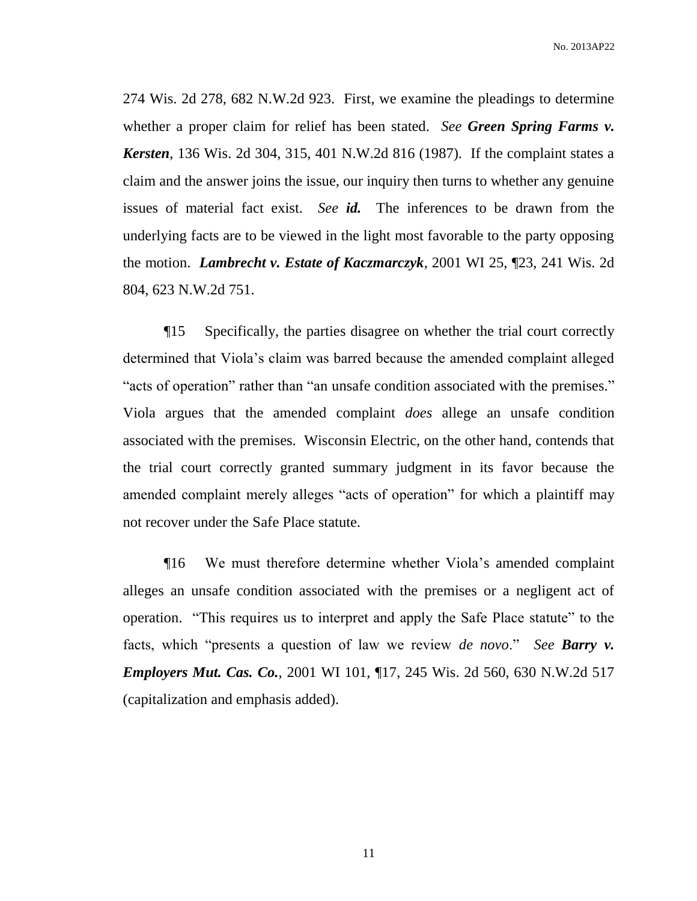No. 2013AP22

274 Wis. 2d 278, 682 N.W.2d 923. First, we examine the pleadings to determine whether a proper claim for relief has been stated. *See Green Spring Farms v. Kersten*, 136 Wis. 2d 304, 315, 401 N.W.2d 816 (1987). If the complaint states a claim and the answer joins the issue, our inquiry then turns to whether any genuine issues of material fact exist. *See id.* The inferences to be drawn from the underlying facts are to be viewed in the light most favorable to the party opposing the motion. *Lambrecht v. Estate of Kaczmarczyk*, 2001 WI 25, ¶23, 241 Wis. 2d 804, 623 N.W.2d 751.

¶15 Specifically, the parties disagree on whether the trial court correctly determined that Viola's claim was barred because the amended complaint alleged "acts of operation" rather than "an unsafe condition associated with the premises." Viola argues that the amended complaint *does* allege an unsafe condition associated with the premises. Wisconsin Electric, on the other hand, contends that the trial court correctly granted summary judgment in its favor because the amended complaint merely alleges "acts of operation" for which a plaintiff may not recover under the Safe Place statute.

¶16 We must therefore determine whether Viola's amended complaint alleges an unsafe condition associated with the premises or a negligent act of operation. "This requires us to interpret and apply the Safe Place statute" to the facts, which "presents a question of law we review *de novo*." *See Barry v. Employers Mut. Cas. Co.*, 2001 WI 101, ¶17, 245 Wis. 2d 560, 630 N.W.2d 517 (capitalization and emphasis added).

11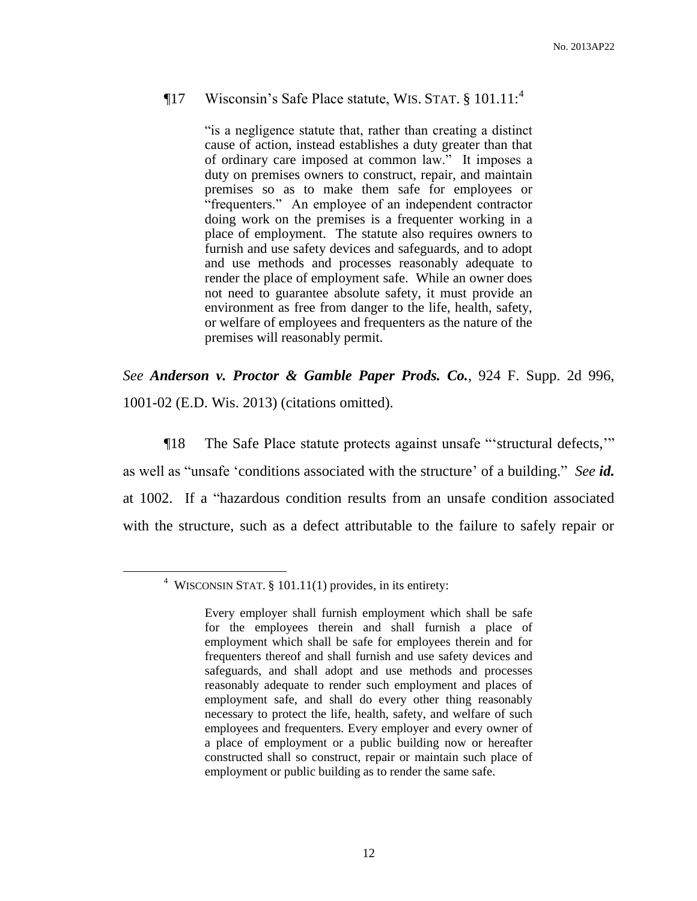### ¶17 Wisconsin's Safe Place statute, WIS. STAT. § 101.11:<sup>4</sup>

"is a negligence statute that, rather than creating a distinct cause of action, instead establishes a duty greater than that of ordinary care imposed at common law." It imposes a duty on premises owners to construct, repair, and maintain premises so as to make them safe for employees or "frequenters." An employee of an independent contractor doing work on the premises is a frequenter working in a place of employment. The statute also requires owners to furnish and use safety devices and safeguards, and to adopt and use methods and processes reasonably adequate to render the place of employment safe. While an owner does not need to guarantee absolute safety, it must provide an environment as free from danger to the life, health, safety, or welfare of employees and frequenters as the nature of the premises will reasonably permit.

*See Anderson v. Proctor & Gamble Paper Prods. Co.*, 924 F. Supp. 2d 996, 1001-02 (E.D. Wis. 2013) (citations omitted).

¶18 The Safe Place statute protects against unsafe "'structural defects,'" as well as "unsafe 'conditions associated with the structure' of a building." *See id.* at 1002. If a "hazardous condition results from an unsafe condition associated with the structure, such as a defect attributable to the failure to safely repair or

<sup>&</sup>lt;sup>4</sup> WISCONSIN STAT. § 101.11(1) provides, in its entirety:

Every employer shall furnish employment which shall be safe for the employees therein and shall furnish a place of employment which shall be safe for employees therein and for frequenters thereof and shall furnish and use safety devices and safeguards, and shall adopt and use methods and processes reasonably adequate to render such employment and places of employment safe, and shall do every other thing reasonably necessary to protect the life, health, safety, and welfare of such employees and frequenters. Every employer and every owner of a place of employment or a public building now or hereafter constructed shall so construct, repair or maintain such place of employment or public building as to render the same safe.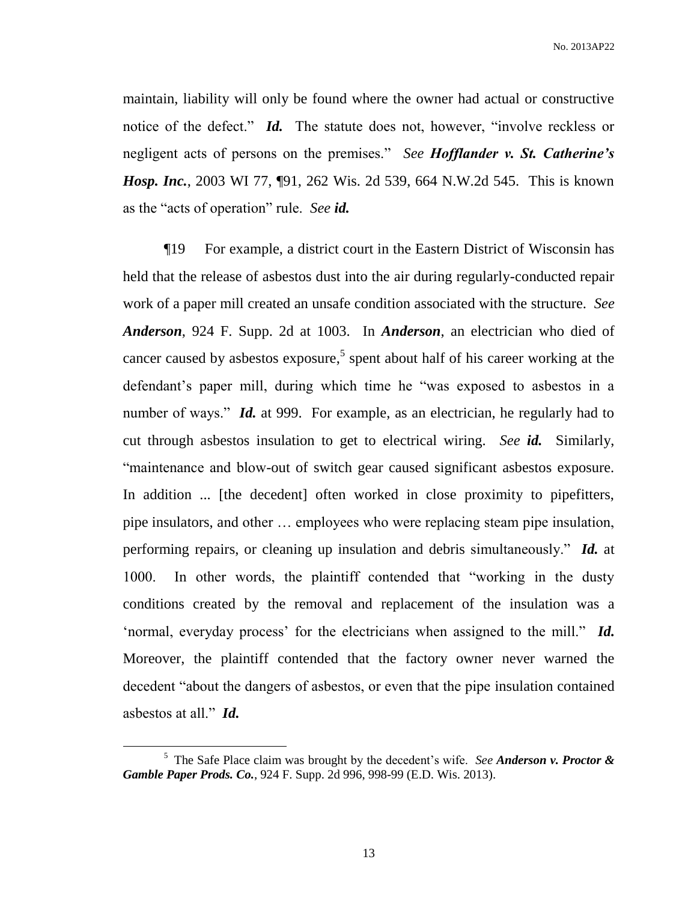maintain, liability will only be found where the owner had actual or constructive notice of the defect." *Id.* The statute does not, however, "involve reckless or negligent acts of persons on the premises." *See Hofflander v. St. Catherine's Hosp. Inc.*, 2003 WI 77, ¶91, 262 Wis. 2d 539, 664 N.W.2d 545. This is known as the "acts of operation" rule. *See id.*

¶19 For example, a district court in the Eastern District of Wisconsin has held that the release of asbestos dust into the air during regularly-conducted repair work of a paper mill created an unsafe condition associated with the structure. *See Anderson*, 924 F. Supp. 2d at 1003. In *Anderson*, an electrician who died of cancer caused by asbestos exposure, 5 spent about half of his career working at the defendant's paper mill, during which time he "was exposed to asbestos in a number of ways." *Id.* at 999. For example, as an electrician, he regularly had to cut through asbestos insulation to get to electrical wiring. *See id.* Similarly, "maintenance and blow-out of switch gear caused significant asbestos exposure. In addition ... [the decedent] often worked in close proximity to pipefitters, pipe insulators, and other … employees who were replacing steam pipe insulation, performing repairs, or cleaning up insulation and debris simultaneously." *Id.* at 1000. In other words, the plaintiff contended that "working in the dusty conditions created by the removal and replacement of the insulation was a 'normal, everyday process' for the electricians when assigned to the mill." *Id.* Moreover, the plaintiff contended that the factory owner never warned the decedent "about the dangers of asbestos, or even that the pipe insulation contained asbestos at all." *Id.*

<sup>5</sup> The Safe Place claim was brought by the decedent's wife. *See Anderson v. Proctor & Gamble Paper Prods. Co.*, 924 F. Supp. 2d 996, 998-99 (E.D. Wis. 2013).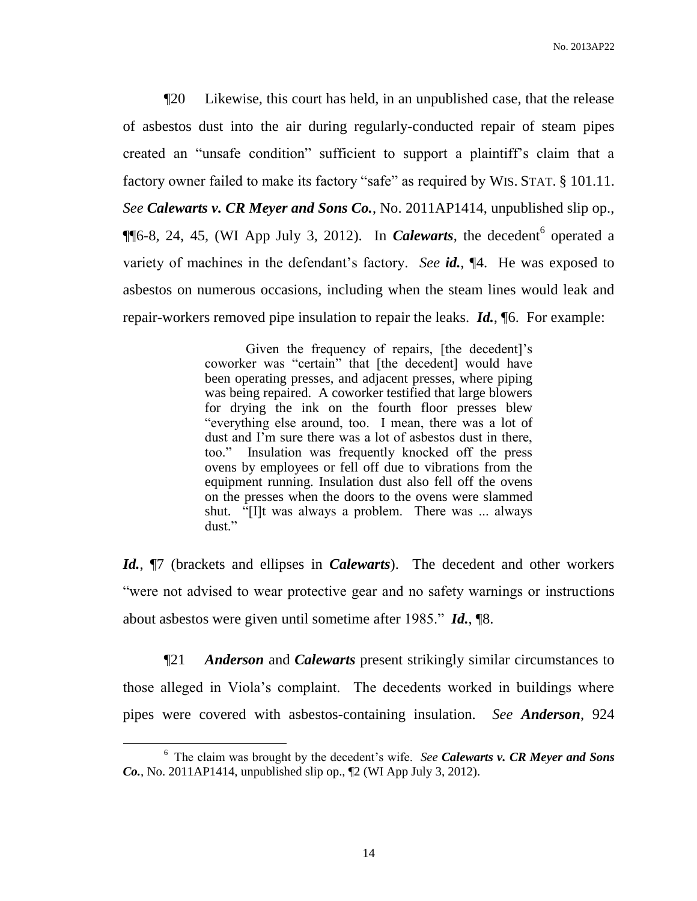¶20 Likewise, this court has held, in an unpublished case, that the release of asbestos dust into the air during regularly-conducted repair of steam pipes created an "unsafe condition" sufficient to support a plaintiff's claim that a factory owner failed to make its factory "safe" as required by WIS. STAT. § 101.11. *See Calewarts v. CR Meyer and Sons Co.*, No. 2011AP1414, unpublished slip op.,  $\P$ [6-8, 24, 45, (WI App July 3, 2012). In *Calewarts*, the decedent<sup>6</sup> operated a variety of machines in the defendant's factory. *See id.*, ¶4. He was exposed to asbestos on numerous occasions, including when the steam lines would leak and repair-workers removed pipe insulation to repair the leaks. *Id.*, ¶6. For example:

> Given the frequency of repairs, [the decedent]'s coworker was "certain" that [the decedent] would have been operating presses, and adjacent presses, where piping was being repaired. A coworker testified that large blowers for drying the ink on the fourth floor presses blew "everything else around, too. I mean, there was a lot of dust and I'm sure there was a lot of asbestos dust in there, too." Insulation was frequently knocked off the press ovens by employees or fell off due to vibrations from the equipment running. Insulation dust also fell off the ovens on the presses when the doors to the ovens were slammed shut. "[I]t was always a problem. There was ... always dust."

*Id.*, ¶7 (brackets and ellipses in *Calewarts*). The decedent and other workers "were not advised to wear protective gear and no safety warnings or instructions about asbestos were given until sometime after 1985." *Id.*, ¶8.

¶21 *Anderson* and *Calewarts* present strikingly similar circumstances to those alleged in Viola's complaint. The decedents worked in buildings where pipes were covered with asbestos-containing insulation. *See Anderson*, 924

<sup>6</sup> The claim was brought by the decedent's wife. *See Calewarts v. CR Meyer and Sons Co.*, No. 2011AP1414, unpublished slip op., ¶2 (WI App July 3, 2012).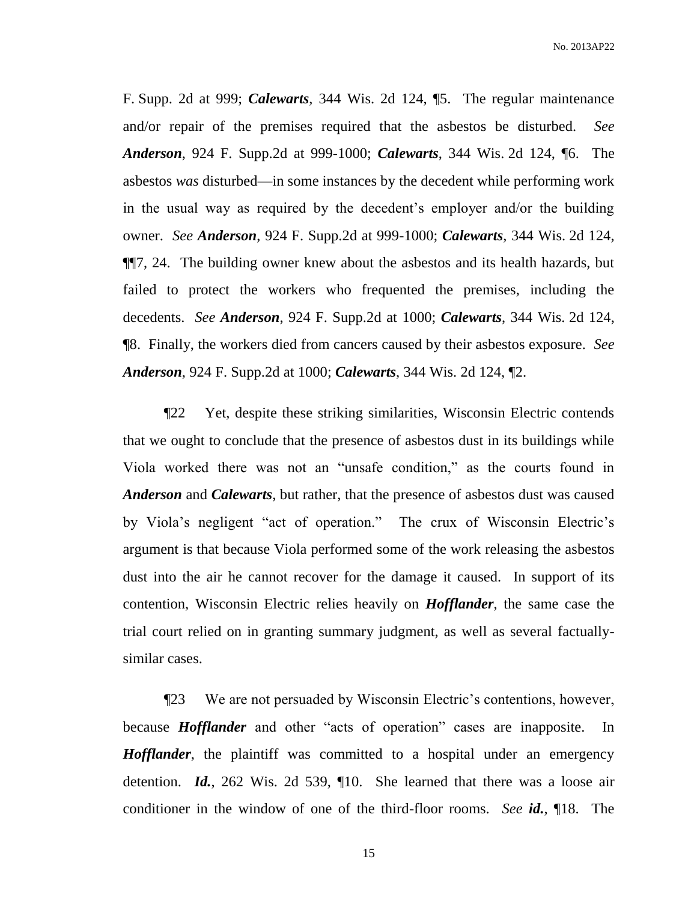F. Supp. 2d at 999; *Calewarts*, 344 Wis. 2d 124, ¶5. The regular maintenance and/or repair of the premises required that the asbestos be disturbed. *See Anderson*, 924 F. Supp.2d at 999-1000; *Calewarts*, 344 Wis. 2d 124, ¶6. The asbestos *was* disturbed—in some instances by the decedent while performing work in the usual way as required by the decedent's employer and/or the building owner. *See Anderson*, 924 F. Supp.2d at 999-1000; *Calewarts*, 344 Wis. 2d 124, ¶¶7, 24. The building owner knew about the asbestos and its health hazards, but failed to protect the workers who frequented the premises, including the decedents. *See Anderson*, 924 F. Supp.2d at 1000; *Calewarts*, 344 Wis. 2d 124, ¶8. Finally, the workers died from cancers caused by their asbestos exposure. *See Anderson*, 924 F. Supp.2d at 1000; *Calewarts*, 344 Wis. 2d 124, ¶2.

¶22 Yet, despite these striking similarities, Wisconsin Electric contends that we ought to conclude that the presence of asbestos dust in its buildings while Viola worked there was not an "unsafe condition," as the courts found in *Anderson* and *Calewarts*, but rather, that the presence of asbestos dust was caused by Viola's negligent "act of operation." The crux of Wisconsin Electric's argument is that because Viola performed some of the work releasing the asbestos dust into the air he cannot recover for the damage it caused. In support of its contention, Wisconsin Electric relies heavily on *Hofflander*, the same case the trial court relied on in granting summary judgment, as well as several factuallysimilar cases.

¶23 We are not persuaded by Wisconsin Electric's contentions, however, because *Hofflander* and other "acts of operation" cases are inapposite. In *Hofflander*, the plaintiff was committed to a hospital under an emergency detention. *Id.*, 262 Wis. 2d 539, ¶10. She learned that there was a loose air conditioner in the window of one of the third-floor rooms. *See id.*, ¶18. The

15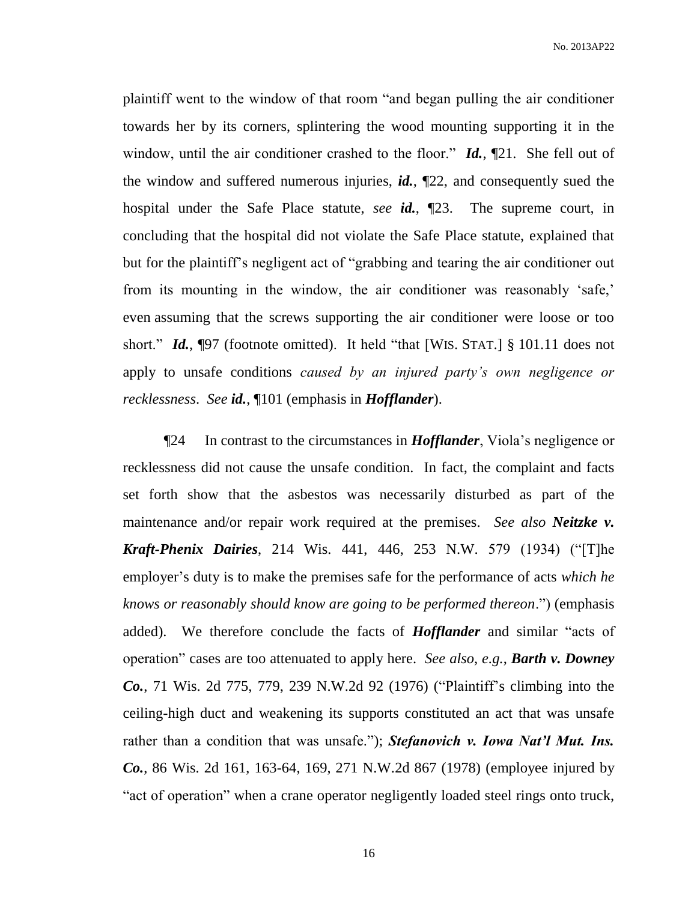plaintiff went to the window of that room "and began pulling the air conditioner towards her by its corners, splintering the wood mounting supporting it in the window, until the air conditioner crashed to the floor." **Id.**, [21. She fell out of the window and suffered numerous injuries, *id.*, ¶22, and consequently sued the hospital under the Safe Place statute, *see id.*, ¶23. The supreme court, in concluding that the hospital did not violate the Safe Place statute, explained that but for the plaintiff's negligent act of "grabbing and tearing the air conditioner out from its mounting in the window, the air conditioner was reasonably 'safe,' even assuming that the screws supporting the air conditioner were loose or too short." *Id.*, **[97** (footnote omitted). It held "that [WIS. STAT.] § 101.11 does not apply to unsafe conditions *caused by an injured party's own negligence or recklessness*. *See id.*, ¶101 (emphasis in *Hofflander*).

¶24 In contrast to the circumstances in *Hofflander*, Viola's negligence or recklessness did not cause the unsafe condition. In fact, the complaint and facts set forth show that the asbestos was necessarily disturbed as part of the maintenance and/or repair work required at the premises. *See also Neitzke v. Kraft-Phenix Dairies*, 214 Wis. 441, 446, 253 N.W. 579 (1934) ("[T]he employer's duty is to make the premises safe for the performance of acts *which he knows or reasonably should know are going to be performed thereon*.") (emphasis added). We therefore conclude the facts of *Hofflander* and similar "acts of operation" cases are too attenuated to apply here. *See also*, *e.g.*, *Barth v. Downey Co.*, 71 Wis. 2d 775, 779, 239 N.W.2d 92 (1976) ("Plaintiff's climbing into the ceiling-high duct and weakening its supports constituted an act that was unsafe rather than a condition that was unsafe."); *Stefanovich v. Iowa Nat'l Mut. Ins. Co.*, 86 Wis. 2d 161, 163-64, 169, 271 N.W.2d 867 (1978) (employee injured by "act of operation" when a crane operator negligently loaded steel rings onto truck,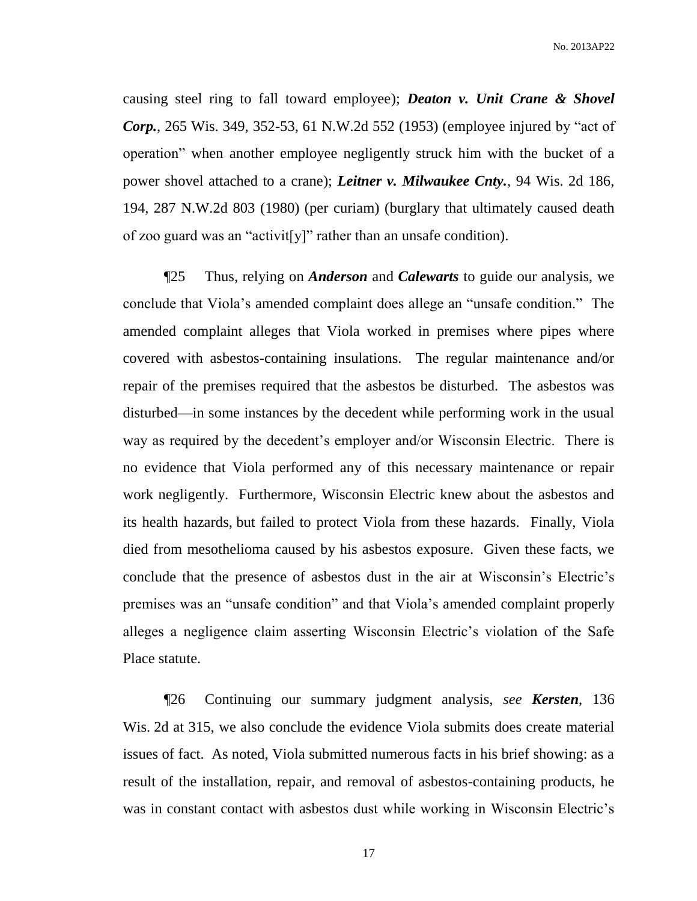No. 2013AP22

causing steel ring to fall toward employee); *Deaton v. Unit Crane & Shovel Corp.*, 265 Wis. 349, 352-53, 61 N.W.2d 552 (1953) (employee injured by "act of operation" when another employee negligently struck him with the bucket of a power shovel attached to a crane); *Leitner v. Milwaukee Cnty.*, 94 Wis. 2d 186, 194, 287 N.W.2d 803 (1980) (per curiam) (burglary that ultimately caused death of zoo guard was an "activit[y]" rather than an unsafe condition).

¶25 Thus, relying on *Anderson* and *Calewarts* to guide our analysis, we conclude that Viola's amended complaint does allege an "unsafe condition." The amended complaint alleges that Viola worked in premises where pipes where covered with asbestos-containing insulations. The regular maintenance and/or repair of the premises required that the asbestos be disturbed. The asbestos was disturbed—in some instances by the decedent while performing work in the usual way as required by the decedent's employer and/or Wisconsin Electric. There is no evidence that Viola performed any of this necessary maintenance or repair work negligently. Furthermore, Wisconsin Electric knew about the asbestos and its health hazards, but failed to protect Viola from these hazards. Finally, Viola died from mesothelioma caused by his asbestos exposure. Given these facts, we conclude that the presence of asbestos dust in the air at Wisconsin's Electric's premises was an "unsafe condition" and that Viola's amended complaint properly alleges a negligence claim asserting Wisconsin Electric's violation of the Safe Place statute.

¶26 Continuing our summary judgment analysis, *see Kersten*, 136 Wis. 2d at 315, we also conclude the evidence Viola submits does create material issues of fact. As noted, Viola submitted numerous facts in his brief showing: as a result of the installation, repair, and removal of asbestos-containing products, he was in constant contact with asbestos dust while working in Wisconsin Electric's

17